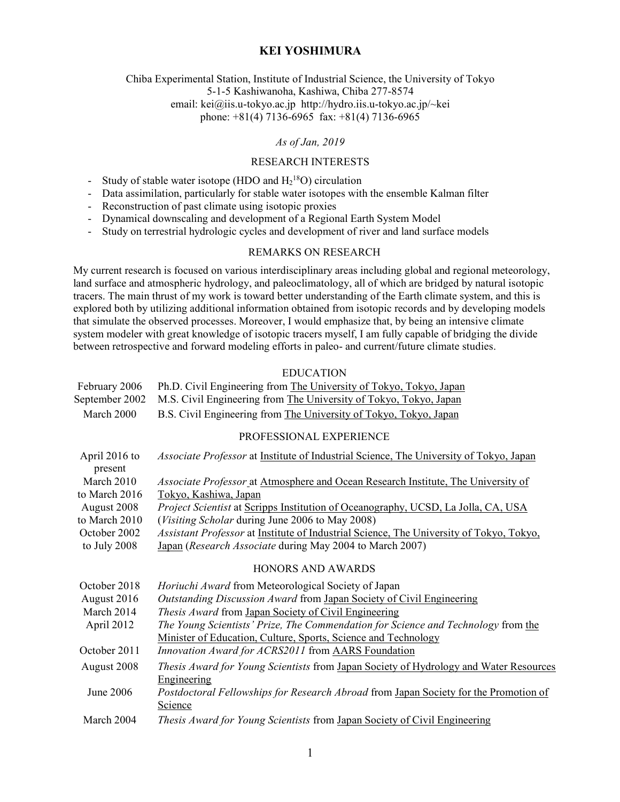Chiba Experimental Station, Institute of Industrial Science, the University of Tokyo 5-1-5 Kashiwanoha, Kashiwa, Chiba 277-8574 email: kei@iis.u-tokyo.ac.jp http://hydro.iis.u-tokyo.ac.jp/~kei phone: +81(4) 7136-6965 fax: +81(4) 7136-6965

#### *As of Jan, 2019*

### RESEARCH INTERESTS

- Study of stable water isotope (HDO and  $H_2^{18}O$ ) circulation
- Data assimilation, particularly for stable water isotopes with the ensemble Kalman filter
- Reconstruction of past climate using isotopic proxies
- Dynamical downscaling and development of a Regional Earth System Model
- Study on terrestrial hydrologic cycles and development of river and land surface models

### REMARKS ON RESEARCH

My current research is focused on various interdisciplinary areas including global and regional meteorology, land surface and atmospheric hydrology, and paleoclimatology, all of which are bridged by natural isotopic tracers. The main thrust of my work is toward better understanding of the Earth climate system, and this is explored both by utilizing additional information obtained from isotopic records and by developing models that simulate the observed processes. Moreover, I would emphasize that, by being an intensive climate system modeler with great knowledge of isotopic tracers myself, I am fully capable of bridging the divide between retrospective and forward modeling efforts in paleo- and current/future climate studies.

#### EDUCATION

| February 2006 | Ph.D. Civil Engineering from The University of Tokyo, Tokyo, Japan               |
|---------------|----------------------------------------------------------------------------------|
|               | September 2002 M.S. Civil Engineering from The University of Tokyo, Tokyo, Japan |
| March 2000    | B.S. Civil Engineering from The University of Tokyo, Tokyo, Japan                |

#### PROFESSIONAL EXPERIENCE

| April 2016 to | <i>Associate Professor</i> at <u>Institute of Industrial Science</u> , The University of Tokyo, Japan |
|---------------|-------------------------------------------------------------------------------------------------------|
| present       |                                                                                                       |
| March 2010    | Associate Professor at Atmosphere and Ocean Research Institute, The University of                     |
| to March 2016 | Tokyo, Kashiwa, Japan                                                                                 |
| August 2008   | <i>Project Scientist</i> at Scripps Institution of Oceanography, UCSD, La Jolla, CA, USA              |
| to March 2010 | (Visiting Scholar during June 2006 to May 2008)                                                       |
| October 2002  | <i>Assistant Professor</i> at Institute of Industrial Science, The University of Tokyo, Tokyo,        |
| to July 2008  | Japan (Research Associate during May 2004 to March 2007)                                              |
|               | <b>HONORS AND AWARDS</b>                                                                              |
| October 2018  | Horiuchi Award from Meteorological Society of Japan                                                   |
| August 2016   | Outstanding Discussion Award from Japan Society of Civil Engineering                                  |
| March 2014    | <i>Thesis Award</i> from Japan Society of Civil Engineering                                           |
| April 2012    | The Young Scientists' Prize, The Commendation for Science and Technology from the                     |
|               | Minister of Education, Culture, Sports, Science and Technology                                        |
| October 2011  | Innovation Award for ACRS2011 from AARS Foundation                                                    |
| August 2008   | <i>Thesis Award for Young Scientists</i> from Japan Society of Hydrology and Water Resources          |
|               | Engineering                                                                                           |
| June 2006     | Postdoctoral Fellowships for Research Abroad from Japan Society for the Promotion of                  |
|               | Science                                                                                               |
| March 2004    | Thesis Award for Young Scientists from Japan Society of Civil Engineering                             |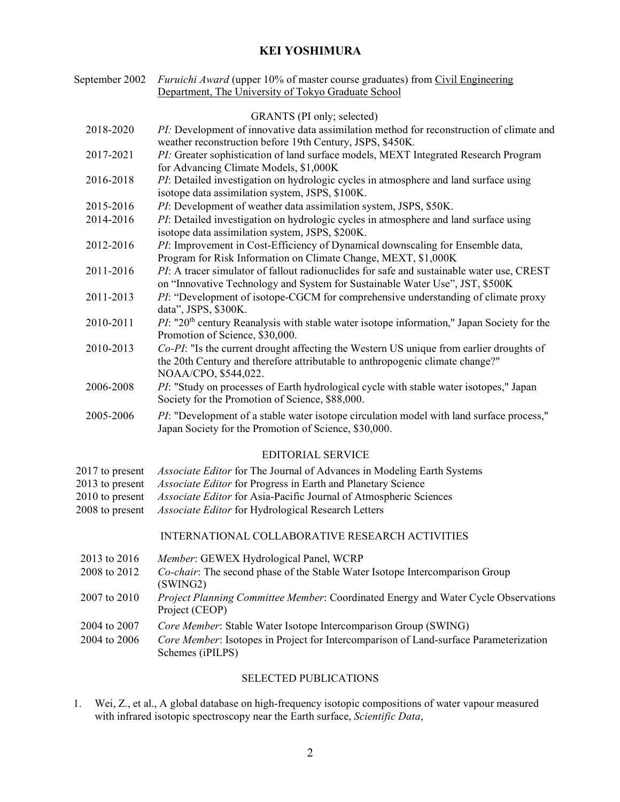| September 2002                                                           | <i>Furuichi Award</i> (upper 10% of master course graduates) from <i>Civil Engineering</i><br>Department, The University of Tokyo Graduate School                                                                                                                 |
|--------------------------------------------------------------------------|-------------------------------------------------------------------------------------------------------------------------------------------------------------------------------------------------------------------------------------------------------------------|
|                                                                          | GRANTS (PI only; selected)                                                                                                                                                                                                                                        |
| 2018-2020                                                                | PI: Development of innovative data assimilation method for reconstruction of climate and<br>weather reconstruction before 19th Century, JSPS, \$450K.                                                                                                             |
| 2017-2021                                                                | PI: Greater sophistication of land surface models, MEXT Integrated Research Program<br>for Advancing Climate Models, \$1,000K                                                                                                                                     |
| 2016-2018                                                                | PI: Detailed investigation on hydrologic cycles in atmosphere and land surface using<br>isotope data assimilation system, JSPS, \$100K.                                                                                                                           |
| 2015-2016                                                                | PI: Development of weather data assimilation system, JSPS, \$50K.                                                                                                                                                                                                 |
| 2014-2016                                                                | PI: Detailed investigation on hydrologic cycles in atmosphere and land surface using<br>isotope data assimilation system, JSPS, \$200K.                                                                                                                           |
| 2012-2016                                                                | PI: Improvement in Cost-Efficiency of Dynamical downscaling for Ensemble data,<br>Program for Risk Information on Climate Change, MEXT, \$1,000K                                                                                                                  |
| 2011-2016                                                                | PI: A tracer simulator of fallout radionuclides for safe and sustainable water use, CREST<br>on "Innovative Technology and System for Sustainable Water Use", JST, \$500K                                                                                         |
| 2011-2013                                                                | PI: "Development of isotope-CGCM for comprehensive understanding of climate proxy<br>data", JSPS, \$300K.                                                                                                                                                         |
| 2010-2011                                                                | $PI$ : "20 <sup>th</sup> century Reanalysis with stable water isotope information," Japan Society for the<br>Promotion of Science, \$30,000.                                                                                                                      |
| 2010-2013                                                                | Co-PI: "Is the current drought affecting the Western US unique from earlier droughts of<br>the 20th Century and therefore attributable to anthropogenic climate change?"<br>NOAA/CPO, \$544,022.                                                                  |
| 2006-2008                                                                | PI: "Study on processes of Earth hydrological cycle with stable water isotopes," Japan<br>Society for the Promotion of Science, \$88,000.                                                                                                                         |
| 2005-2006                                                                | <i>PI</i> : "Development of a stable water isotope circulation model with land surface process,"<br>Japan Society for the Promotion of Science, \$30,000.                                                                                                         |
|                                                                          | <b>EDITORIAL SERVICE</b>                                                                                                                                                                                                                                          |
| 2017 to present<br>2013 to present<br>2010 to present<br>2008 to present | Associate Editor for The Journal of Advances in Modeling Earth Systems<br>Associate Editor for Progress in Earth and Planetary Science<br>Associate Editor for Asia-Pacific Journal of Atmospheric Sciences<br>Associate Editor for Hydrological Research Letters |
|                                                                          | INTERNATIONAL COLLABORATIVE RESEARCH ACTIVITIES                                                                                                                                                                                                                   |
| 2013 to 2016<br>2008 to 2012                                             | Member: GEWEX Hydrological Panel, WCRP<br>Co-chair: The second phase of the Stable Water Isotope Intercomparison Group<br>(SWING2)                                                                                                                                |
| 2007 to 2010                                                             | Project Planning Committee Member: Coordinated Energy and Water Cycle Observations<br>Project (CEOP)                                                                                                                                                              |
| 2004 to 2007                                                             | Core Member: Stable Water Isotope Intercomparison Group (SWING)                                                                                                                                                                                                   |
| 2004 to 2006                                                             | Core Member: Isotopes in Project for Intercomparison of Land-surface Parameterization<br>Schemes (iPILPS)                                                                                                                                                         |
|                                                                          | SELECTED PUBLICATIONS                                                                                                                                                                                                                                             |

1. Wei, Z., et al., A global database on high-frequency isotopic compositions of water vapour measured with infrared isotopic spectroscopy near the Earth surface, *Scientific Data*,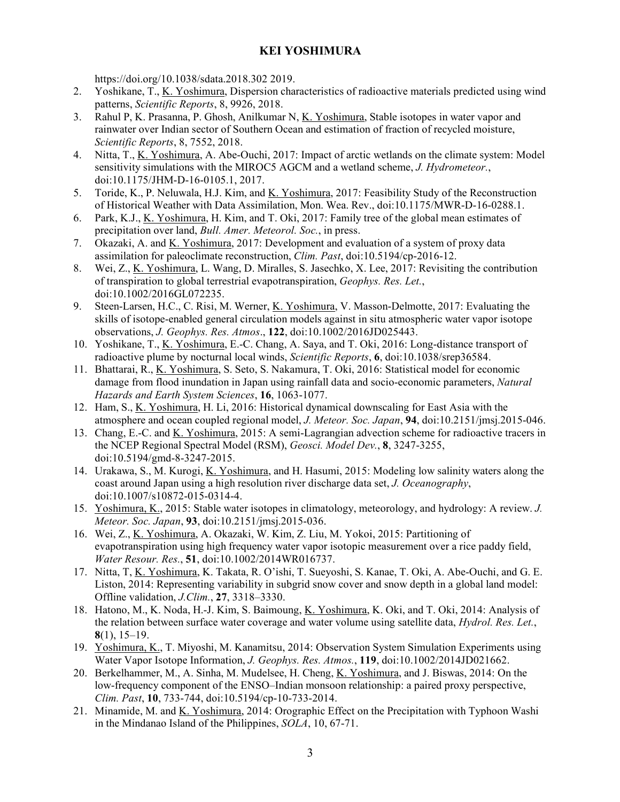https://doi.org/10.1038/sdata.2018.302 2019.

- 2. Yoshikane, T., K. Yoshimura, Dispersion characteristics of radioactive materials predicted using wind patterns, *Scientific Reports*, 8, 9926, 2018.
- 3. Rahul P, K. Prasanna, P. Ghosh, Anilkumar N, K. Yoshimura, Stable isotopes in water vapor and rainwater over Indian sector of Southern Ocean and estimation of fraction of recycled moisture, *Scientific Reports*, 8, 7552, 2018.
- 4. Nitta, T., K. Yoshimura, A. Abe-Ouchi, 2017: Impact of arctic wetlands on the climate system: Model sensitivity simulations with the MIROC5 AGCM and a wetland scheme, *J. Hydrometeor.*, doi:10.1175/JHM-D-16-0105.1, 2017.
- 5. Toride, K., P. Neluwala, H.J. Kim, and K. Yoshimura, 2017: Feasibility Study of the Reconstruction of Historical Weather with Data Assimilation, Mon. Wea. Rev., doi:10.1175/MWR-D-16-0288.1.
- 6. Park, K.J., K. Yoshimura, H. Kim, and T. Oki, 2017: Family tree of the global mean estimates of precipitation over land, *Bull. Amer. Meteorol. Soc.*, in press.
- 7. Okazaki, A. and K. Yoshimura, 2017: Development and evaluation of a system of proxy data assimilation for paleoclimate reconstruction, *Clim. Past*, doi:10.5194/cp-2016-12.
- 8. Wei, Z., K. Yoshimura, L. Wang, D. Miralles, S. Jasechko, X. Lee, 2017: Revisiting the contribution of transpiration to global terrestrial evapotranspiration, *Geophys. Res. Let.*, doi:10.1002/2016GL072235.
- 9. Steen-Larsen, H.C., C. Risi, M. Werner, K. Yoshimura, V. Masson-Delmotte, 2017: Evaluating the skills of isotope-enabled general circulation models against in situ atmospheric water vapor isotope observations, *J. Geophys. Res. Atmos*., **122**, doi:10.1002/2016JD025443.
- 10. Yoshikane, T., K. Yoshimura, E.-C. Chang, A. Saya, and T. Oki, 2016: Long-distance transport of radioactive plume by nocturnal local winds, *Scientific Reports*, **6**, doi:10.1038/srep36584.
- 11. Bhattarai, R., K. Yoshimura, S. Seto, S. Nakamura, T. Oki, 2016: Statistical model for economic damage from flood inundation in Japan using rainfall data and socio-economic parameters, *Natural Hazards and Earth System Sciences*, **16**, 1063-1077.
- 12. Ham, S., K. Yoshimura, H. Li, 2016: Historical dynamical downscaling for East Asia with the atmosphere and ocean coupled regional model, *J. Meteor. Soc. Japan*, **94**, doi:10.2151/jmsj.2015-046.
- 13. Chang, E.-C. and K. Yoshimura, 2015: A semi-Lagrangian advection scheme for radioactive tracers in the NCEP Regional Spectral Model (RSM), *Geosci. Model Dev.*, **8**, 3247-3255, doi:10.5194/gmd-8-3247-2015.
- 14. Urakawa, S., M. Kurogi, K. Yoshimura, and H. Hasumi, 2015: Modeling low salinity waters along the coast around Japan using a high resolution river discharge data set, *J. Oceanography*, doi:10.1007/s10872-015-0314-4.
- 15. Yoshimura, K., 2015: Stable water isotopes in climatology, meteorology, and hydrology: A review. *J. Meteor. Soc. Japan*, **93**, doi:10.2151/jmsj.2015-036.
- 16. Wei, Z., K. Yoshimura, A. Okazaki, W. Kim, Z. Liu, M. Yokoi, 2015: Partitioning of evapotranspiration using high frequency water vapor isotopic measurement over a rice paddy field, *Water Resour. Res.*, **51**, doi:10.1002/2014WR016737.
- 17. Nitta, T, K. Yoshimura, K. Takata, R. O'ishi, T. Sueyoshi, S. Kanae, T. Oki, A. Abe-Ouchi, and G. E. Liston, 2014: Representing variability in subgrid snow cover and snow depth in a global land model: Offline validation, *J.Clim.*, **27**, 3318–3330.
- 18. Hatono, M., K. Noda, H.-J. Kim, S. Baimoung, K. Yoshimura, K. Oki, and T. Oki, 2014: Analysis of the relation between surface water coverage and water volume using satellite data, *Hydrol. Res. Let.*, **8**(1), 15–19.
- 19. Yoshimura, K., T. Miyoshi, M. Kanamitsu, 2014: Observation System Simulation Experiments using Water Vapor Isotope Information, *J. Geophys. Res. Atmos.*, **119**, doi:10.1002/2014JD021662.
- 20. Berkelhammer, M., A. Sinha, M. Mudelsee, H. Cheng, K. Yoshimura, and J. Biswas, 2014: On the low-frequency component of the ENSO–Indian monsoon relationship: a paired proxy perspective, *Clim. Past*, **10**, 733-744, doi:10.5194/cp-10-733-2014.
- 21. Minamide, M. and K. Yoshimura, 2014: Orographic Effect on the Precipitation with Typhoon Washi in the Mindanao Island of the Philippines, *SOLA*, 10, 67-71.